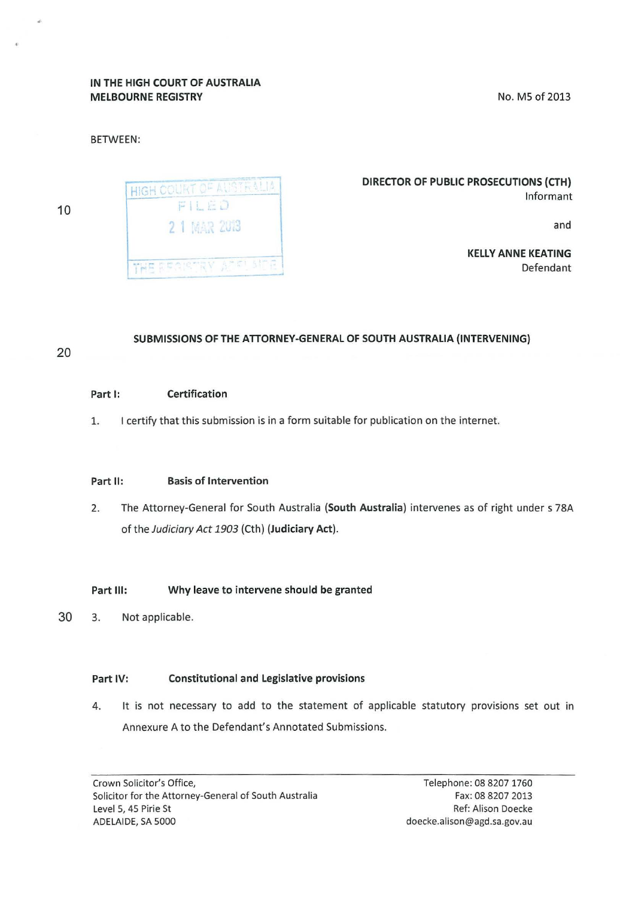# IN THE HIGH COURT OF AUSTRALIA MELBOURNE REGISTRY

## BETWEEN:

10



DIRECTOR OF PUBLIC PROSECUTIONS (CTH) Informant

and

KELLY ANNE KEATING Defendant

# SUBMISSIONS OF THE ATTORNEY-GENERAL OF SOUTH AUSTRALIA (INTERVENING}

20

# Part I: Certification

1. I certify that this submission is in a form suitable for publication on the internet.

#### Part II: Basis of Intervention

2. The Attorney-General for South Australia (South Australia) intervenes as of right under s 78A of the Judiciary Act 1903 (Cth) (Judiciary Act).

# Part Ill: Why leave to intervene should be granted

30 3. Not applicable.

# Part IV: Constitutional and Legislative provisions

4. It is not necessary to add to the statement of applicable statutory provisions set out in Annexure A to the Defendant's Annotated Submissions.

Telephone: 08 8207 1760 Fax: 08 8207 2013 Ref: Alison Doecke doecke.alison@agd.sa.gov.au

No. MS of 2013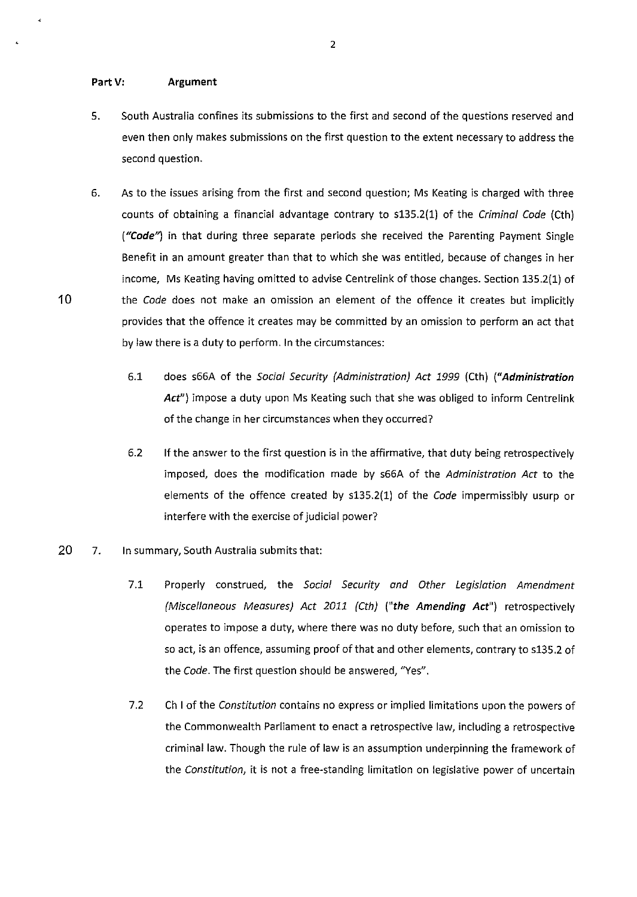#### Part V: Argument

- 5. South Australia confines its submissions to the first and second of the questions reserved and even then only makes submissions on the first question to the extent necessary to address the second question.
- 6. As to the issues arising from the first and second question; Ms Keating is charged with three counts of obtaining a financial advantage contrary to s135.2(1) of the Criminal Code (Cth) ("Code") in that during three separate periods she received the Parenting Payment Single Benefit in an amount greater than that to which she was entitled, because of changes in her income, Ms Keating having omitted to advise Centrelink of those changes. Section 135.2(1) of 10 the Code does not make an omission an element of the offence it creates but implicitly provides that the offence it creates may be committed by an omission to perform an act that by law there is a duty to perform. In the circumstances:
	- 6.1 does s66A of the Social Security {Administration) Act 1999 (Cth) ("Administration Act") impose a duty upon Ms Keating such that she was obliged to inform Centrelink of the change in her circumstances when they occurred?
	- 6.2 If the answer to the first question is in the affirmative, that duty being retrospectively imposed, does the modification made by s66A of the Administration Act to the elements of the offence created by s135.2(1) of the *Code* impermissibly usurp or interfere with the exercise of judicial power?

#### 20 7. In summary, South Australia submits that:

- 7.1 Properly construed, the Social Security and Other Legislation Amendment (Miscellaneous Measures) Act 2011 (Cth) ("the Amending Act") retrospectively operates to impose a duty, where there was no duty before, such that an omission to so act, is an offence, assuming proof of that and other elements, contrary to s135.2 of the Code. The first question should be answered, "Yes".
- 7.2 Ch I of the Constitution contains no express or implied limitations upon the powers of the Commonwealth Parliament to enact a retrospective law, including a retrospective criminal law. Though the rule of law is an assumption underpinning the framework of the Constitution, it is not a free-standing limitation on legislative power of uncertain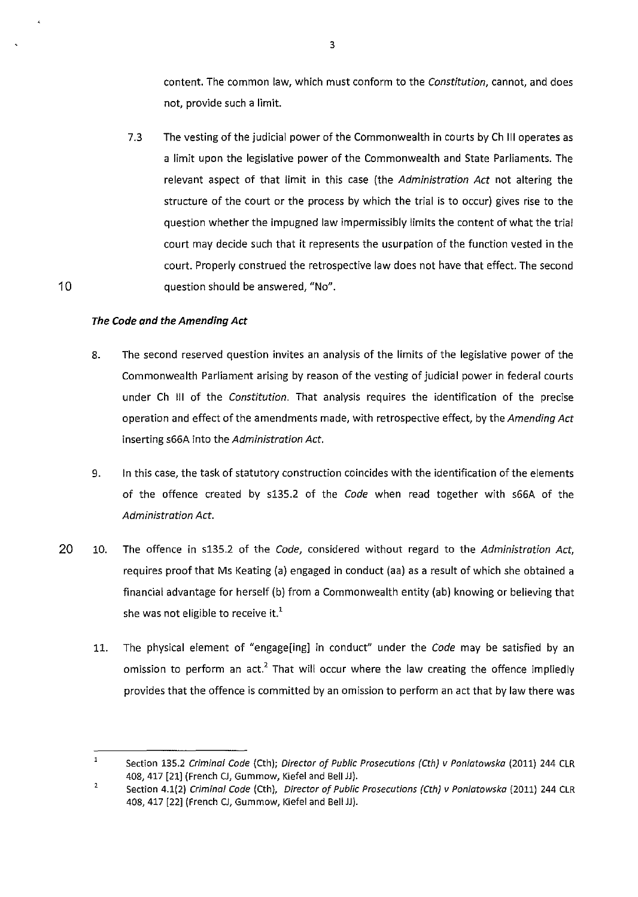content. The common law, which must conform to the *Constitution,* cannot, and does not, provide such a limit.

7.3 The vesting of the judicial power of the Commonwealth in courts by Ch Ill operates as a limit upon the legislative power of the Commonwealth and State Parliaments. The relevant aspect of that limit in this case (the *Administration Act* not altering the structure of the court or the process by which the trial is to occur) gives rise to the question whether the impugned law impermissibly limits the content of what the trial court may decide such that it represents the usurpation of the function *vested* in the court. Properly construed the retrospective law does not have that effect. The second question should be answered, "No".

### **The Code and the Amending Act**

10

- 8. The second reserved question invites an analysis of the limits of the legislative power of the Commonwealth Parliament arising by reason of the vesting of judicial power in federal courts under Ch Ill of the *Constitution.* That analysis requires the identification of the precise operation and effect of the amendments made, with retrospective effect, by the *Amending Act*  inserting s66A into the *Administration Act.*
- 9. In this case, the task of statutory construction coincides with the identification of the elements of the offence created by s135.2 of the *Code* when read together with s66A of the *Administration Act.*
- 20 10. The offence in s135.2 of the *Code,* considered without regard to the *Administration Act,*  requires proof that Ms Keating (a) engaged in conduct (aa) as a result of which she obtained a financial advantage for herself (b) from a Commonwealth entity (ab) knowing or believing that she was not eligible to receive it. $<sup>1</sup>$ </sup>
	- 11. The physical element of "engage[ing] in conduct" under the *Code* may be satisfied by an omission to perform an act.<sup>2</sup> That will occur where the law creating the offence impliedly provides that the offence is committed by an omission to perform an act that by law there was

 $\mathbf{1}$ Section 135.2 Criminal Code (Cth); Director of Public Prosecutions (Cth} v Poniatowsko (2011) 244 CLR 408, 417 [21] (French CJ, Gummow, Kiefel and Bell JJ).

 $\overline{2}$ Section 4.1(2) Criminal Code (Cth), Director of Public Prosecutions (Cth) v Poniotowska (2011) 244 CLR 408, 417 [22] (French CJ, Gummow, Kiefel and Bell JJ).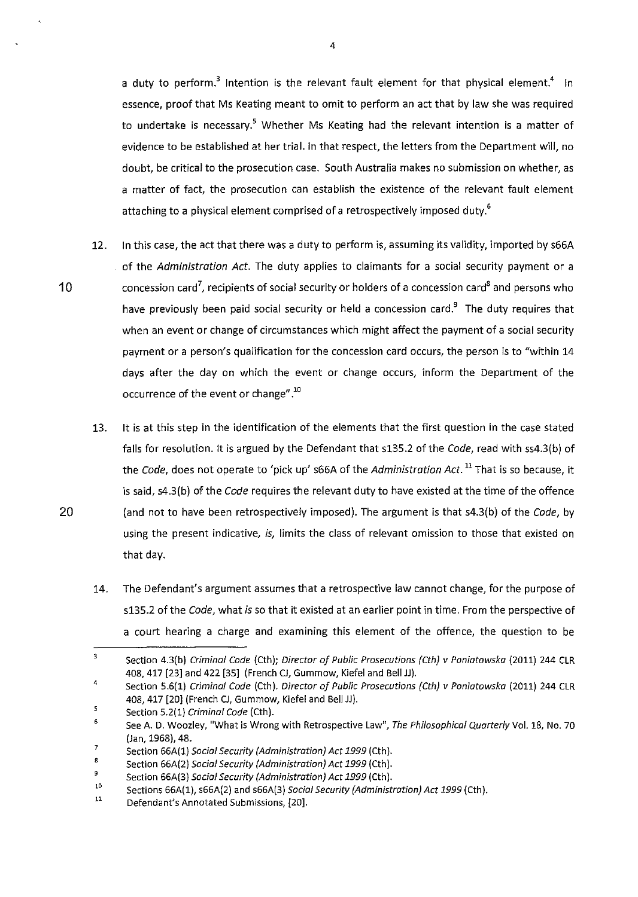a duty to perform.<sup>3</sup> Intention is the relevant fault element for that physical element.<sup>4</sup> In essence, proof that Ms Keating meant to omit to perform an act that by law she was required to undertake is necessary.<sup>5</sup> Whether Ms Keating had the relevant intention is a matter of evidence to be established at her trial. In that respect, the letters from the Department will, no doubt, be critical to the prosecution case. South Australia makes no submission on whether, as a matter of fact, the prosecution can establish the existence of the relevant fault element attaching to a physical element comprised of a retrospectively imposed duty.<sup>6</sup>

- 12. In this case, the act that there was a duty to perform is, assuming its validity, imported by s66A of the Administration Act. The duty applies to claimants for a social security payment or a 10 concession card<sup>7</sup>, recipients of social security or holders of a concession card<sup>8</sup> and persons who have previously been paid social security or held a concession card. $9$  The duty requires that when an event or change of circumstances which might affect the payment of a social security payment or a person's qualification for the concession card occurs, the person is to "within 14 days after the day on which the event or change occurs, inform the Department of the occurrence of the event or change".<sup>10</sup>
- 13. It is at this step in the identification of the elements that the first question in the case stated falls for resolution. It is argued by the Defendant that s135.2 of the Code, read with ss4.3(b) of the Code, does not operate to 'pick up' s66A of the Administration Act.<sup>11</sup> That is so because, it is said, s4.3(b) of the Code requires the relevant duty to have existed at the time of the offence 20 (and not to have been retrospectively imposed). The argument is that s4.3(b) of the Code, by using the present indicative, is, limits the class of relevant omission to those that existed on that day.
	- 14. The Defendant's argument assumes that a retrospective law cannot change, for the purpose of s135.2 of the Code, what is so that it existed at an earlier point in time. From the perspective of a court hearing a charge and examining this element of the offence, the question to be

<sup>3</sup>  Section 4.3(b) Criminal Code (Cth); Director of Public Prosecutions (Cth} v Poniatowska (2011) 244 CLR 408, 417 [23] and 422 [35] (French CJ, Gummow, Kiefel and Bell JJ).

<sup>4</sup>  Section 5.6(1) Criminal Code (Cth). Director of Public Prosecutions (Cth) v Poniatowska (2011) 244 CLR 408, 417 [20] (French CJ, Gummow, Kiefel and Bell JJ).

s Section 5.2(1) Criminal Code (Cth).

<sup>6</sup>  See A. D. Woozley, "What is Wrong with Retrospective Law", The Philosophical Quarterly Vol. 18, No. 70 (Jan, 1968), 48.

<sup>7</sup>  Section 66A(1) Social Security (Administration) Act 1999 (Cth).

<sup>8</sup>  Section 66A(2) Social Security {Administration) Act 1999 (Cth).

 $\mathbf{9}$ Section 66A(3) Social Security {Administration) Act 1999 (Cth).

<sup>!0</sup>  Sections 66A(1), s66A(2) and s66A(3) Social Security {Administration) Act 1999 (Cth).

ll Defendant's Annotated Submissions, [20].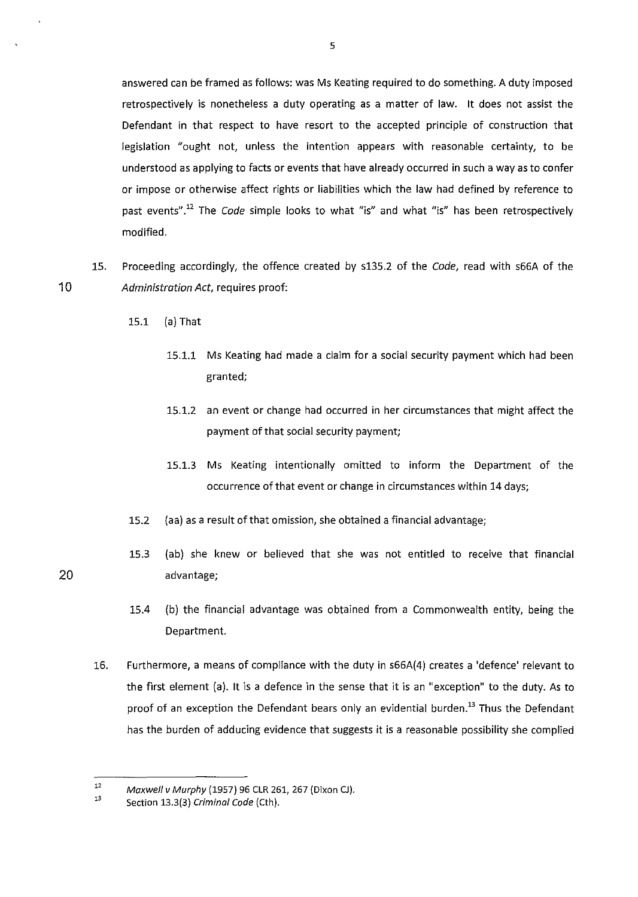answered can be framed as follows: was Ms Keating required to do something. A duty imposed retrospectively is nonetheless a duty operating as a matter of law. It does not assist the Defendant in that respect to have resort to the accepted principle of construction that legislation "ought not, unless the intention appears with reasonable certainty, to be understood as applying to facts or events that have already occurred in such a way as to confer or impose or otherwise affect rights or liabilities which the law had defined by reference to past events".<sup>12</sup> The Code simple looks to what "is" and what "is" has been retrospectively modified.

- 15. Proceeding accordingly, the offence created by s135.2 of the Code, read with s66A of the 10 Administration Act, requires proof:
	- 15.1 (a) That
		- 15.1.1 Ms Keating had made a claim for a social security payment which had been granted;
		- 15.1.2 an event or change had occurred in her circumstances that might affect the payment of that social security payment;
		- 15.1.3 Ms Keating intentionally omitted to inform the Department of the occurrence of that event or change in circumstances within 14 days;
	- 15.2 (aa) as a result of that omission, she obtained a financial advantage;
- 15.3 (ab) she knew or believed that she was not entitled to receive that financial 20 advantage;
	- 15.4 (b) the financial advantage was obtained from a Commonwealth entity, being the Department.
	- 16. Furthermore, a means of compliance with the duty in s66A(4) creates a 'defence' relevant to the first element (a). It is a defence in the sense that it is an "exception" to the duty. As to proof of an exception the Defendant bears only an evidential burden.<sup>13</sup> Thus the Defendant has the burden of adducing evidence that suggests it is a reasonable possibility she complied

<sup>12</sup>  Maxwell v Murphy (1957) 96 CLR 261, 267 (Dixon CJ).

<sup>13</sup>  Section 13.3(3) Criminal Code (Cth).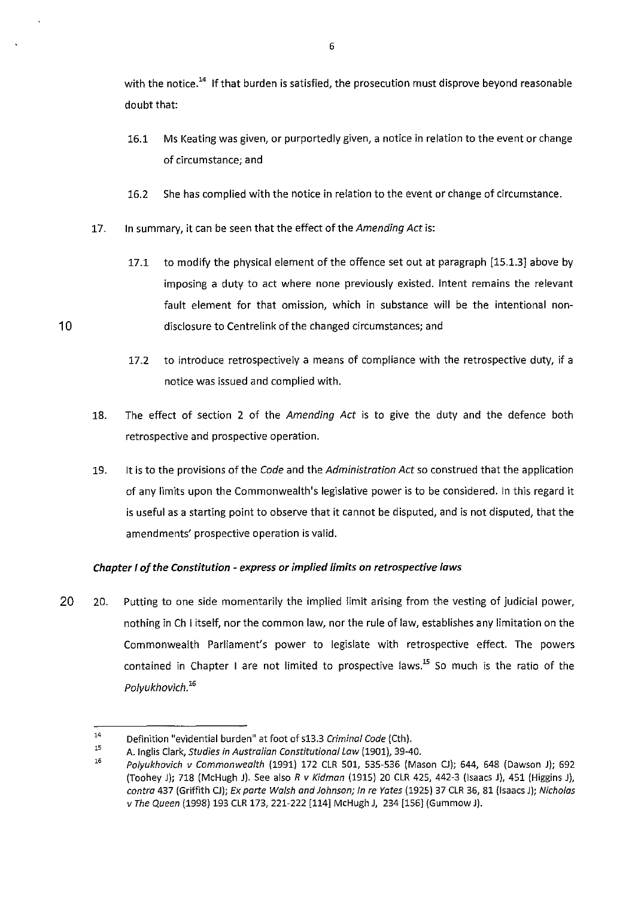with the notice.<sup>14</sup> If that burden is satisfied, the prosecution must disprove beyond reasonable doubt that:

- 16.1 Ms Keating was given, or purportedly given, a notice in relation to the event or change of circumstance; and
- 16.2 She has complied with the notice in relation to the event or change of circumstance.
- 17. In summary, it can be seen that the effect of the *Amending Act* is:
- 17.1 to modify the physical element of the offence set out at paragraph [15.1.3] above by imposing a duty to act where none previously existed. Intent remains the relevant fault element for that omission, which in substance will be the intentional non-10 disclosure to Centrelink of the changed circumstances; and
	- 17.2 to introduce retrospectively a means of compliance with the retrospective duty, if a notice was issued and complied with.
	- 18. The effect of section 2 of the *Amending Act* is to give the duty and the defence both retrospective and prospective operation.
	- 19. It is to the provisions of the *Code* and the *Administration Act* so construed that the application of any limits upon the Commonwealth's legislative power is to be considered. In this regard it is useful as a starting point to observe that it cannot be disputed, and is not disputed, that the amendments' prospective operation is valid.

# *Chapter I of the Constitution* - *express or implied limits on retrospective Jaws*

20 20. Putting to one side momentarily the implied limit arising from the vesting of judicial power, nothing inCh I itself, nor the common law, nor the rule of Jaw, establishes any limitation on the Commonwealth Parliament's power to legislate with retrospective effect. The powers contained in Chapter I are not limited to prospective laws.<sup>15</sup> So much is the ratio of the *Polyukhovich. <sup>16</sup>*

<sup>14</sup>  Definition "evidential burden" at foot of s13.3 Criminal Code (Cth).

<sup>15</sup>  A. Inglis Clark, Studies in Australian Constitutional Law (1901}, 39-40.

<sup>16</sup>  Polyukhovich v Commonwealth (1991) 172 CLR 501, 535-536 (Mason CJ); 644, 648 (Dawson J); 692 (Toohey J); 718 (McHugh J). See also R v Kidman (1915) 20 CLR 425, 442-3 (Isaacs J), 451 (Higgins J), contra 437 (Griffith 0); Ex parte Walsh and Johnson; In re Yates (1925) 37 CLR 36, 81 (Isaacs J); Nicholas v The Queen (1998) 193 CLR 173, 221-222 [114] McHugh J, 234 [156] (Gummow J).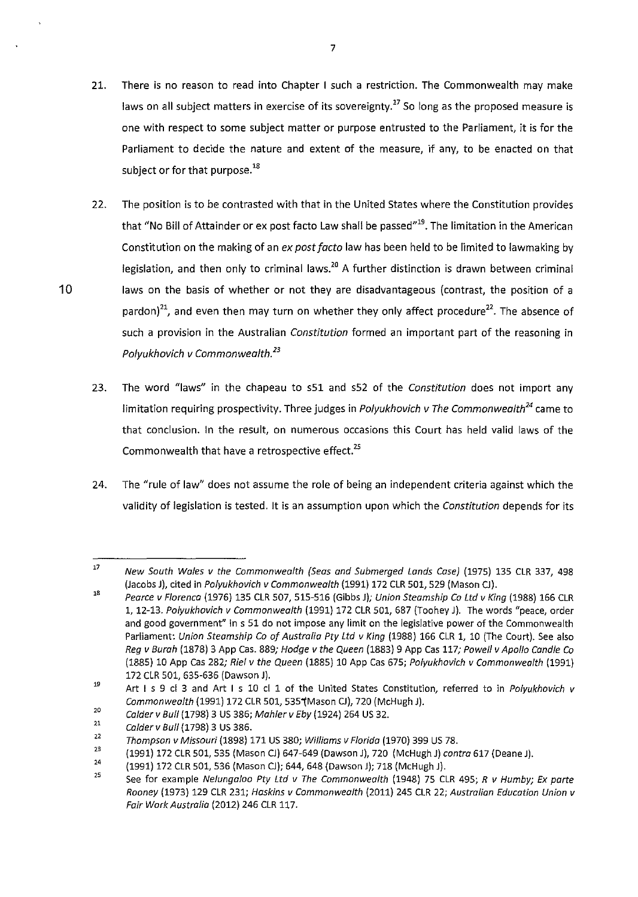- 21. There is no reason to read into Chapter I such a restriction. The Commonwealth may make laws on all subject matters in exercise of its sovereignty.<sup>17</sup> So long as the proposed measure is one with respect to some subject matter or purpose entrusted to the Parliament, it is for the Parliament to decide the nature and extent of the measure, if any, to be enacted on that subject or for that purpose.<sup>18</sup>
- 22. The position is to be contrasted with that in the United States where the Constitution provides that "No Bill of Attainder or ex post facto Law shall be passed"<sup>19</sup>. The limitation in the American Constitution on the making of an ex post facto law has been held to be limited to lawmaking by legislation, and then only to criminal laws.<sup>20</sup> A further distinction is drawn between criminal 10 laws on the basis of whether or not they are disadvantageous (contrast, the position of a pardon)<sup>21</sup>, and even then may turn on whether they only affect procedure<sup>22</sup>. The absence of such a provision in the Australian Constitution formed an important part of the reasoning in Polyukhovich v Commanwealth. *<sup>23</sup>*
	- 23. The word "laws" in the chapeau to s51 and s52 of the Constitution does not import any limitation requiring prospectivity. Three judges in Polyukhovich v The Commonwealth<sup>24</sup> came to that conclusion. In the result, on numerous occasions this Court has held valid laws of the Commonwealth that have a retrospective effect.<sup>25</sup>
	- 24. The "rule of law" does not assume the role of being an independent criteria against which the validity of legislation is tested. It is an assumption upon which the Constitution depends for its

<sup>17</sup>  New South Wales v the Commonwealth {Seas and Submerged Lands Case) (1975) 135 CLR 337, 498 (Jacobs J), cited in Polyukhovich v Commonwealth (1991) 172 CLR 501,529 (Mason CJ).

<sup>18</sup> Pearce v Florenca (1976) 135 CLR 507, 515-516 (Gibbs J); Union Steamship Co Ltd v King (1988) 166 CLR 1, 12-13. Polyukhovich v Commonwealth (1991) 172 CLR 501, 687 (Toohey J). The words "peace, order and good government" in s 51 do not impose any limit on the legislative power of the Commonwealth Parliament: Union Steamship Co of Australia Pty Ltd v King (1988) 166 CLR 1, 10 (The Court). See also Reg v Burah (1878) 3 App Cas. 889; Hodge v the Queen (1883) 9 App Cas 117; Powell v Apollo Candle Co (188S) 10 App Cas 282; Riel v the Queen (1885) 10 App Cas 675; Polyukhovich v Commonwealth (1991) 172 CLR 501, 635-636 (Dawson J).

<sup>-19</sup> Art I s 9 cl 3 and Art I s 10 cl 1 of the United States Constitution, referred to in Polyukhovich v Commonwealth (1991) 172 CLR 501, 535 (Mason CJ), 720 (McHugh J).

*<sup>20</sup>*  Colder v Bull (1798) 3 US 386; Mohler v Eby (1924) 264 US 32.

<sup>21</sup>  Colder v Bull (1798) 3 US 386.

*<sup>22</sup>*  Thompson v Missouri (1898) 171 US 380; Williams v Florida (1970) 399 US 78.

<sup>23</sup>  (1991) 172 CLR 501, 535 (Mason CJ) 647-649 (Dawson J), 720 (McHugh J) contra 617 (Deane J).

<sup>24</sup>  (1991) 172 CLR 501, 536 (Mason CJ); 644, 648 (Dawson J); 718 (McHugh J).

<sup>25</sup>  See for example Nelungaloo Pty Ltd v The Commonwealth (1948) 75 CLR 495; R v Humby; Ex parte Rooney (1973) 129 CLR 231; Haskins v Commonwealth (2011) 24S CLR 22; Australian Education Union v Fair Work Australia (2012) 246 CLR 117.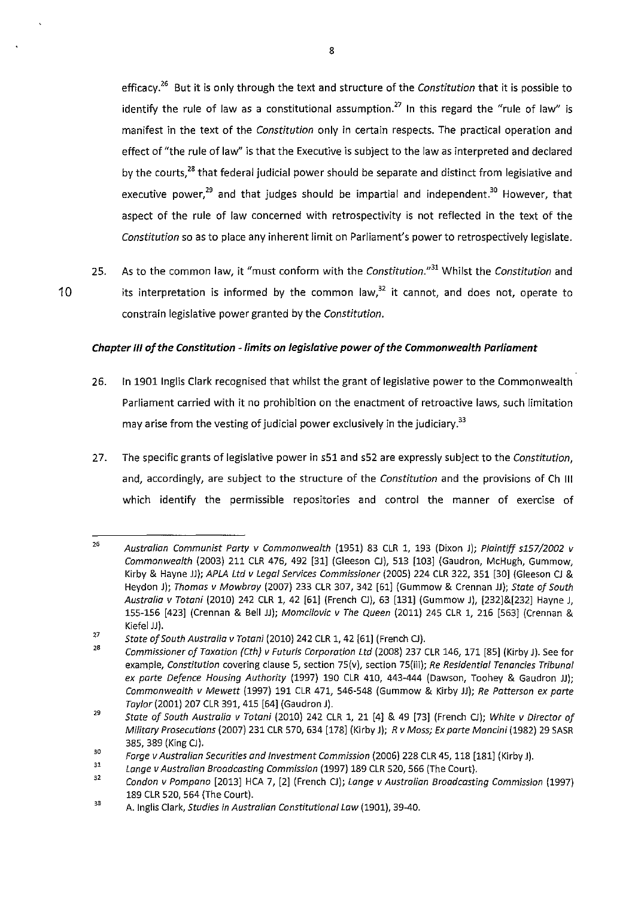efficacy.<sup>26</sup> But it is only through the text and structure of the *Constitution* that it is possible to identify the rule of law as a constitutional assumption.<sup>27</sup> In this regard the "rule of law" is manifest in the text of the *Constitution* only in certain respects. The practical operation and effect of "the rule of law" is that the Executive is subject to the law as interpreted and declared by the courts,<sup>28</sup> that federal judicial power should be separate and distinct from legislative and executive power, $^{29}$  and that judges should be impartial and independent.<sup>30</sup> However, that aspect of the rule of law concerned with retrospectivity is not reflected in the text of the *Constitution* so as to place any inherent limit on Parliament's power to retrospectively legislate.

25. As to the common law, it "must conform with the *Constitution.""* Whilst the *Constitution* and 10 its interpretation is informed by the common law, $32$  it cannot, and does not, operate to constrain legislative power granted by the *Constitution.* 

# *Chapter Ill of the Constitution -limits on legislative power of the Commonwealth Parliament*

- 26. In 1901 Inglis Clark recognised that whilst the grant of legislative power to the Commonwealth Parliament carried with it no prohibition on the enactment of retroactive laws, such limitation may arise from the vesting of judicial power exclusively in the judiciary.<sup>33</sup>
- 27. The specific grants of legislative power in s51 and s52 are expressly subject to the *Constitution,*  and, accordingly, are subject to the structure of the *Constitution* and the provisions of Ch Ill which identify the permissible repositories and control the manner of exercise of

<sup>26</sup>  Australian Communist Party v Commonwealth (1951) 83 CLR 1, 193 (Dixon J); Plaintiff s157/2002 v Commonwealth (2003) 211 CLR 476, 492 [31] (Gleeson CJ), 513 [103] (Gaudron, McHugh, Gummow, Kirby & Hayne JJ); APLA Ltd v Legal Services Commissioner (2005) 224 CLR 322, 351 [30] (Gleeson CJ & Heydon J); Thomas v Mowbray (2007) 233 CLR 307, 342 [61] (Gummow & Crennan JJ); State of South Australia v Totani (2010) 242 CLR 1, 42 [61] (French CJ), 63 [131] (Gummow J), [232]&[232] Hayne J, 155-156 [423] (Crennan & Bell JJ); Momcilovic v The Queen (2011) 245 CLR 1, 216 [563] (Crennan & Kiefel JJ).

 $\begin{array}{c} 27 \\ 28 \end{array}$ State of South Australia v Totani (2010) 242 CLR 1, 42 [61] (French CJ).

Commissioner of Taxation (Cth} v Futuris Corporation Ltd (2008) 237 CLR 146, 171 [85] (Kirby J). See for example, Constitution covering clause 5, section 75(v), section 75(iii); Re Residential Tenancies Tribunal ex porte Defence Housing Authority (1997) 190 CLR 410, 443-444 (Dawson, Toohey & Gaudron JJ); Commonwealth v Mewett (1997) 191 CLR 471, 546-548 (Gummow & Kirby JJ); Re Patterson ex parte Taylor (2001) 207 CLR 391, 415 [64] (Gaudron J).

<sup>&</sup>quot; State of South Australia v Totani (2010) 242 CLR 1, 21 [4] & 49 [73] (French CJ); White v Director of Military Prosecutions (2007) 231 CLR 570, 634 [178] (Kirby J); R v Moss; Ex parte Mancini (1982) 29 SASR 385, 389 (King CJ).

<sup>30</sup> Forge v Australian Securities and Investment Commission (2006) 228 CLR 45, 118 [181] (Kirby J).

<sup>31</sup>  Lange v Australian Broadcasting Commission (1997) 189 CLR 520, 566 (The Court).

<sup>32</sup>  Condon v Pompano [2013] HCA 7, [2] (French CJ); Lange v Australian Broadcasting Commission (1997) 189 CLR 520, 564 (The Court).

<sup>33</sup> A. Inglis Clark, Studies in Australian Constitutional Law (1901), 39-40.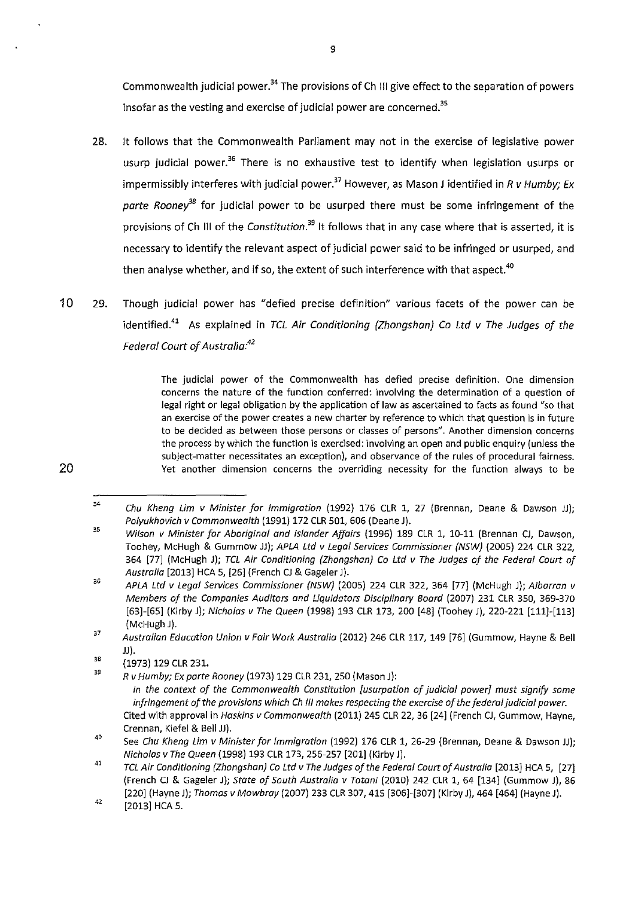Commonwealth judicial power.<sup>34</sup> The provisions of Ch<sub>ill give effect to the separation of powers</sub> insofar as the vesting and exercise of judicial power are concerned.<sup>35</sup>

- 28. It follows that the Commonwealth Parliament may not in the exercise of legislative power usurp judicial power. $36$  There is no exhaustive test to identify when legislation usurps or impermissibly interferes with judicial power.<sup>37</sup> However, as Mason J identified in *R v Humby; Ex parte Rooney'8* for judicial power to be usurped there must be some infringement of the provisions of Ch Ill of the *Constitution."* It follows that in any case where that is asserted, it is necessary to identify the relevant aspect of judicial power said to be infringed or usurped, and then analyse whether, and if so, the extent of such interference with that aspect.<sup>40</sup>
- 10 29. Though judicial power has "defied precise definition" various facets of the power can be identified.<sup>41</sup> As explained in *TCL Air Conditioning (Zhongshan) Co Ltd v The Judges of the Federal Court of Australio:42*

The judicial power of the Commonwealth has defied precise definition. One dimension concerns the nature of the function conferred: involving the determination of a question of legal right or legal obligation by the application of law as ascertained to facts as found "so that an exercise of the power creates a new charter by reference to which that question is in future to be decided as between those persons or classes of persons". Another dimension concerns the process by which the function is exercised: involving an open and public enquiry (unless the **subject-matter necessitates an exception), and observance of the rules of procedural fairness.**  Yet another dimension concerns the overriding necessity for the function always to be

<sup>34</sup>  Chu Kheng Lim v Minister for Immigration (1992) 176 CLR 1, 27 (Brennan, Deane & Dawson JJ); Polyukhovich v Commonwealth (1991) 172 CLR 501, 606 (Deane J).

<sup>35</sup> Wilson v Minister for Aboriginal and Islander Affairs (1996) 189 CLR 1, 10-11 (Brennan CJ, Dawson, Toohey, McHugh & Gummow JJ); APLA Ltd v Legal Services Commissioner (NSW) (2005) 224 CLR 322, 364 [77] (McHugh J); TCL Air Conditioning (Zhongshan) Co Ltd v The Judges of the Federal Court of Australia [2013] HCA 5, [26] (French CJ & Gageler J).

<sup>36</sup>  APLA Ltd v Legal Services Commissioner (NSW} (2005) 224 CLR 322, 364 [77] (McHugh J); Albarran v Members of the Companies Auditors and Liquidators Disciplinary Board (2007) 231 CLR 350, 369-370 [63]-[65] (Kirby J); Nicholas v The Queen (1998) 193 CLR 173, 200 [48] (Toohey J), 220-221 [111]-[113] (McHugh J).

<sup>37</sup>  Australian Education Union v Fair Work Australia (2012) 246 CLR 117, 149 [76] (Gummow, Hayne & Bell JJ).

<sup>38</sup>  (1973) 129 CLR 231.

<sup>39</sup>  R v Humby; Ex parte Rooney (1973) 129 CLR 231, 250 (Mason J):

In the context of the Commonwealth Constitution [usurpation of judicial power] must signify some infringement of the provisions which Ch Ill makes respecting the exercise of the federal judicial power. Cited with approval in Haskins v Commonwealth (2011) 245 CLR 22, 36 [24] (French CJ, Gummow, Hayne, Crennan, Kiefel & Bell JJ).

<sup>40</sup>  See Chu Kheng Lim v Minister for Immigration (1992) 176 CLR 1, 26-29 (Brennan, Deane & Dawson JJ); Nicholas v The Queen (1998) 193 CLR 173, 256-257 [201] (Kirby J).

<sup>41</sup>  TCL Air Conditioning (Zhongshan) Co Ltd v The Judges of the Federal Court of Australia [2013] HCA 5, [27] (French CJ & Gageler J); State of South Australia v Totani (2010) 242 CLR 1, 64 [134] (Gummow J), 86 [220] (Hayne J); Thomas v Mowbray (2007) 233 CLR 307, 415 [306]-[307] (Kirby J), 464 [464] (Hayne J).

<sup>42</sup>  [2013] HCA 5.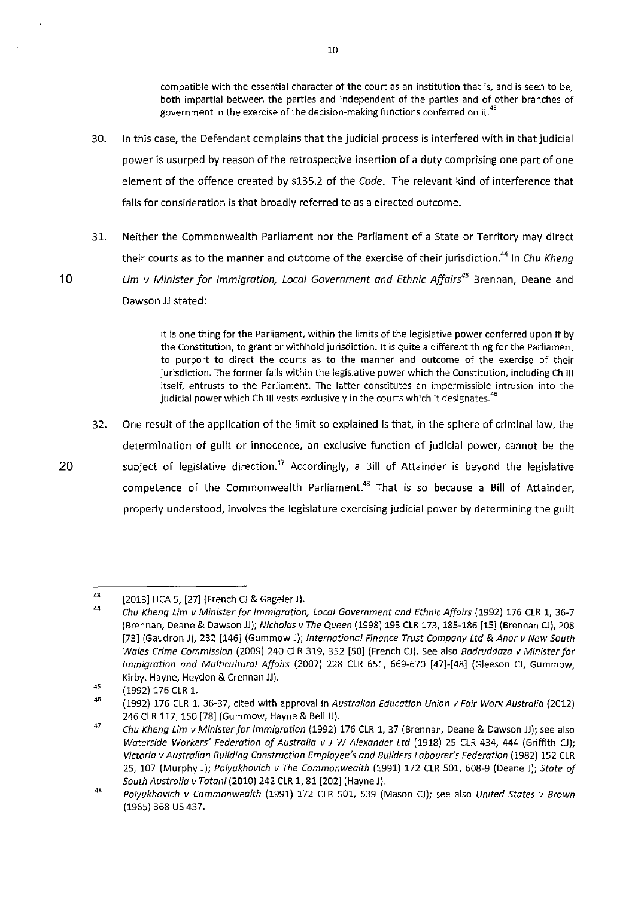compatible with the essential character of the court as an institution that is, and is seen to be, both impartial between the parties and independent of the parties and of other branches of **government in the exercise of the decision-making functions conferred on it.<sup>43</sup>**

- 30. In this case, the Defendant complains that the judicial process is interfered with in that judicial power is usurped by reason of the retrospective insertion of a duty comprising one part of one element of the offence created by s135.2 of the *Code.* The relevant kind of interference that falls for consideration is that broadly referred to as a directed outcome.
- 31. Neither the Commonwealth Parliament nor the Parliament of a State or Territory may direct their courts as to the manner and outcome of the exercise of their jurisdiction.<sup>44</sup> In *Chu Kheng Lim v Minister for Immigration, Local Government and Ethnic Affairs<sup>45</sup> Brennan, Deane and* Dawson JJ stated:

It is one thing for the Parliament, within the limits of the legislative power conferred upon it by the Constitution, to grant or withhold jurisdiction. It is quite a different thing for the Parliament to purport to direct the courts as to the manner and outcome of the exercise of their jurisdiction. The former falls within the legislative power which the Constitution, including Ch Ill itself, entrusts to the Parliament. The latter constitutes an impermissible intrusion into the judicial power which Ch III vests exclusively in the courts which it designates.<sup>46</sup>

32. One result of the application of the limit so explained is that, in the sphere of criminal law, the determination of guilt or innocence, an exclusive function of judicial power, cannot be the subject of legislative direction.<sup>47</sup> Accordingly, a Bill of Attainder is beyond the legislative competence of the Commonwealth Parliament.<sup>48</sup> That is so because a Bill of Attainder, properly understood, involves the legislature exercising judicial power by determining the guilt

20

<sup>43</sup>  [2013] HCA 5, [27] (French CJ & Gageler J).

<sup>44</sup>  *Chu Kheng Lim v Minister for Immigration, Local Government and Ethnic Affairs* (1992) 176 CLR 1, 36-7 (Brennan, Deane & Dawson JJ); *Nicholas v The Queen* (1998) 193 CLR 173, 185-186 [15] (Brennan 0), 208 [73] (Gaud ron J), 232 [146] (Gum mow J); *International Finance Trust Company Ltd* & *Anor v New South Wales Crime Commission* (2009) 240 CLR 319, 352 [SO] (French 0). See also *Bodruddaza v Minister for Immigration and Multicultural Affairs* (2007) 228 CLR 651, 669-670 [47]-[48] (Gleeson 0, Gummow, Kirby, Hayne, Heydon & Crennan JJ).

<sup>45</sup>  (1992) 176 CLR 1.

<sup>46</sup>  (1992) 176 CLR 1, 36-37, cited with approval in *Australian Education Union v Fair Work Australia* (2012) 246 CLR 117, 150 [78] (Gummow, Hayne & Bell JJ).

<sup>47</sup>  *Chu Kheng Lim v Minister for Immigration* (1992) 176 CLR 1, 37 (Brennan, Deane & Dawson JJ); see also *Waterside Workers' Federation of Australia v J W Alexander Ltd (1918) 25 CLR 434, 444 (Griffith CJ); Victoria v Australian Building Construction Employee's and Builders Labourer's Federation* (1982) 152 CLR 25, 107 (Murphy J); *Polyukhovich v The Commonwealth* (1991) 172 CLR 501, 608-9 (Deane J); *State of South Australia v Totani* (2010) 242 CLR 1, 81 [202] (Hayne J).

<sup>48</sup>  *Polyukhovich v Commonwealth* (1991) 172 CLR 501, 539 (Mason 0); see also *United States v Brown*  (1965) 368 us 437.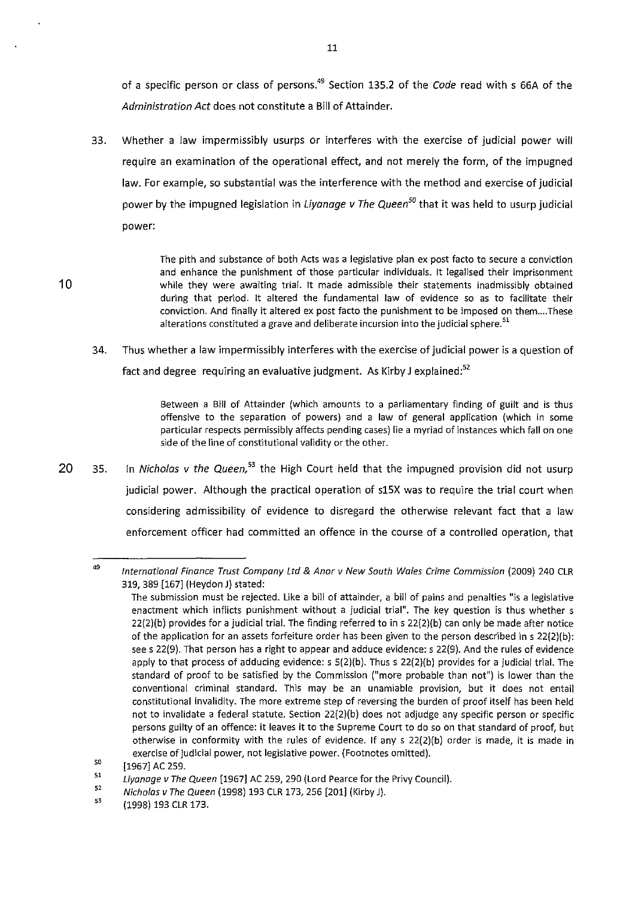of a specific person or class of persons.<sup>49</sup> Section 135.2 of the *Code* read with s 66A of the Administration Act does not constitute a Bill of Attainder.

33. Whether a law impermissibly usurps or interferes with the exercise of judicial power will require an examination of the operational effect, and not merely the form, of the impugned law. For example, so substantial was the interference with the method and exercise of judicial power by the impugned legislation in Liyanage v The Queen<sup>50</sup> that it was held to usurp judicial power:

The pith and substance of both Acts was a legislative plan ex post facto to secure a conviction and enhance the punishment of those particular individuals. It legalised their imprisonment 10 while they were awaiting trial. It made admissible their statements inadmissibly obtained during that period. It altered the fundamental law of evidence so as to facilitate their conviction. And finally it altered ex post facto the punishment to be imposed on them....These alterations constituted a grave and deliberate incursion into the judicial sphere.<sup>51</sup>

34. Thus whether a law impermissibly interferes with the exercise of judicial power is a question of fact and degree requiring an evaluative judgment. As Kirby J explained:<sup>52</sup>

> Between a Bill of Attainder (which amounts to a parliamentary finding of guilt and is thus offensive to the separation of powers) and a law of general application (which in some particular respects permissibly affects pending cases) lie a myriad of instances which fall on one side of the line of constitutional validity or the other.

20 35. In Nicholas *v* the Queen,<sup>53</sup> the High Court held that the impugned provision did not usurp judicial power. Although the practical operation of s15X was to require the trial court when considering admissibility of evidence to disregard the otherwise relevant fact that a law enforcement officer had committed an offence in the course of a controlled operation, that

<sup>49</sup>  International Finance Trust Company Ltd & Anor v New South Wales Crime Commission (2009) 240 CLR 319, 389 [167] (Heydon J) stated:

The submission must be rejected. Like a bill of attainder, a bill of pains and penalties "is a legislative enactment which inflicts punishment without a judicial trial". The key question is thus whether s 22(2)(b) provides for a judicial trial. The finding referred to in s 22(2)(b) can only be made after notice of the application for an assets forfeiture order has been given to the person described in  $s$  22(2)(b): sees 22(9). That person has a right to appear and adduce evidence: s 22(9). And the rules of evidence apply to that process of adducing evidence: s 5(2)(b). Thus s 22(2)(b) provides for a judicial trial. The standard of proof to be satisfied by the Commission ("more probable than not") is lower than the conventional criminal standard. This may be an unamiable provision, but it does not entail constitutional invalidity. The more extreme step of reversing the burden of proof itself has been held not to invalidate a federal statute. Section 22(2)(b) does not adjudge any specific person or specific persons guilty of an offence: it leaves it to the Supreme Court to do so on that standard of proof, but otherwise in conformity with the rules of evidence. If any s 22(2)(b) order is made, it is made in exercise of judicial power, not legislative power. (Footnotes omitted).

so [1967] AC 259.

<sup>51</sup>  Liyanage v The Queen [1967] AC 259, 290 (Lord Pearce for the Privy Council).

<sup>52</sup>  Nicholas v The Queen (1998) 193 CLR 173, 256 [201] (Kirby J).

<sup>53</sup>  (1998) 193 CLR 173.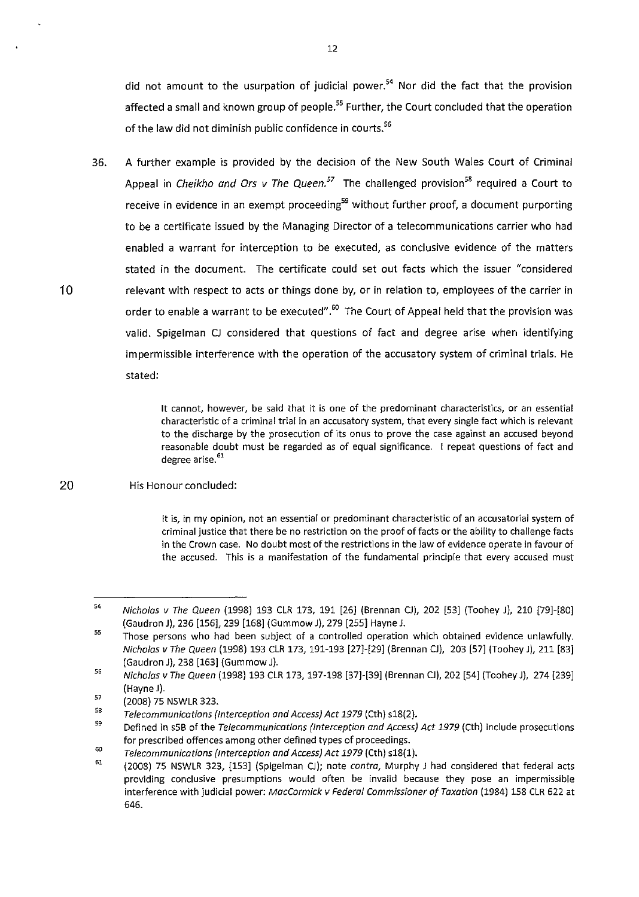did not amount to the usurpation of judicial power.<sup>54</sup> Nor did the fact that the provision affected a small and known group of people.<sup>55</sup> Further, the Court concluded that the operation of the law did not diminish public confidence in courts.<sup>56</sup>

36. A further example is provided by the decision of the New South Wales Court of Criminal Appeal in Cheikho and Ors v The Queen.<sup>57</sup> The challenged provision<sup>58</sup> required a Court to receive in evidence in an exempt proceeding<sup>59</sup> without further proof, a document purporting to be a certificate issued by the Managing Director of a telecommunications carrier who had enabled a warrant for interception to be executed, as conclusive evidence of the matters stated in the document. The certificate could set out facts which the issuer "considered relevant with respect to acts or things done by, or in relation to, employees of the carrier in order to enable a warrant to be executed".<sup>60</sup> The Court of Appeal held that the provision was valid. Spigelman CJ considered that questions of fact and degree arise when identifying impermissible interference with the operation of the accusatory system of criminal trials. He stated:

> **It cannot, however, be said that it is one of the predominant characteristics, or an essential**  characteristic of a criminal trial in an accusatory system, that every single fact which is relevant to the discharge by the prosecution of its onus to prove the case against an accused beyond reasonable doubt must be regarded as of equal significance. I repeat questions of fact and **degree arise. <sup>61</sup>**

#### 20 His Honour concluded:

**It** is, **in my opinion, not an essential or predominant characteristic of an accusatorial system of**  criminal justice that there be no restriction on the proof of facts or the ability to challenge facts in the Crown case. No doubt most of the restrictions in the law of evidence operate in favour of the accused. This is a manifestation of the fundamental principle that every accused must

<sup>54</sup>  Nicholas v The Queen (1998) 193 CLR 173, 191 [26] (Brennan CJ), 202 [53] (Toohey J), 210 [79]-[80] (Gaudron J), 236 [156], 239 [168] (Gummow J), 279 [255] HayneJ.

<sup>55</sup>  Those persons who had been subject of a controlled operation which obtained evidence unlawfully. Nicholas v The Queen (1998) 193 CLR 173, 191-193 [27]-[29] (Brennan CJ), 203 [57] (Toohey J), 211 [83] (Gaudron J), 238 [163] (Gummow J).

<sup>56</sup>  Nicholas v The Queen (1998) 193 CLR 173, 197-198 [37]-[39] (Brennan CJ), 202 [54] (Toohey J), 274 [239] (Hayne J).

<sup>57</sup>  (2008) 75 NSWLR 323.

<sup>58</sup>  Telecommunications (Interception and Access) Act 1979 (Cth) s18(2).

<sup>59</sup>  Defined in s5B of the Telecommunications {Interception and Access) Act 1979 (Cth) include prosecutions for prescribed offences among other defined types of proceedings.

<sup>60</sup>  Telecommunications (Interception and Access) Act 1979 (Cth) s18(1).

<sup>61</sup>  (2008) 75 NSWLR 323, [153] (Spigelman CJ); note contra, Murphy J had considered that federal acts providing conclusive presumptions would often be invalid because they pose an impermissible interference with judicial power: MacCormick v Federal Commissioner of Taxation (1984) 158 CLR 622 at 646.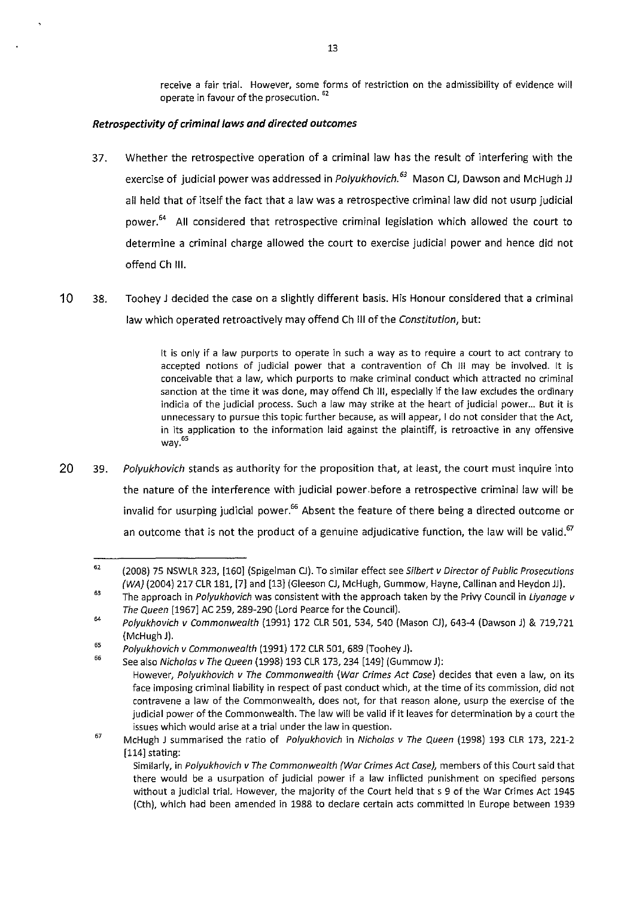receive a fair trial. However, some forms of restriction on the admissibility of evidence will **operate in favour of the prosecution.** <sup>62</sup>

# *Retrospectivity of crimina/laws and directed outcomes*

- 37. Whether the retrospective operation of a criminal law has the result of interfering with the exercise of judicial power was addressed in *Po/yukhovich63* Mason CJ, Dawson and McHugh JJ all held that of itself the fact that a law was a retrospective criminal law did not usurp judicial power.<sup>64</sup> All considered that retrospective criminal legislation which allowed the court to determine a criminal charge allowed the court to exercise judicial power and hence did not offend Ch Ill.
- 10 38. Toohey J decided the case on a slightly different basis. His Honour considered that a criminal law which operated retroactively may offend ChIll of the *Constitution,* but:

It is only if a law purports to operate in such a way as to require a court to act contrary to accepted notions of judicial power that a contravention of Ch Ill may be involved. It is conceivable that a law, which purports to make criminal conduct which attracted no criminal sanction at the time it was done, may offend Ch Ill, especially if the law excludes the ordinary indicia of the judicial process. Such a law may strike at the heart of judicial power... But it is unnecessary to pursue this topic further because, as will appear, I do not consider that the Act, in its application to the information laid against the plaintiff, is retroactive in any offensive way.<sup>65</sup>

20 39. *Polyukhovich* stands as authority for the proposition that, at least, the court must inquire into the nature of the interference with judicial power.before a retrospective criminal law will be invalid for usurping judicial power.<sup>66</sup> Absent the feature of there being a directed outcome or an outcome that is not the product of a genuine adjudicative function, the law will be valid.<sup>67</sup>

<sup>62</sup>  (2008) 75 NSWLR 323, [160] (Spigelman CJ). To similar effect see Silbert v Director of Public Prosecutions (WA} (2004) 217 CLR 181, [7] and [13] (Gleeson CJ, McHugh, Gummow, Hayne, Callinan and Heydon JJ).

<sup>63</sup>  The approach in Polyukhovich was consistent with the approach taken by the Privy Council in Liyanage v The Queen [1967] AC 259, 289-290 (Lord Pearce for the Council).

<sup>64</sup>  Polyukhovich v Commonwealth (1991) 172 CLR 501, 534, 540 (Mason CJ), 643-4 (Dawson J) & 719,721 (McHugh J).

<sup>65</sup>  Polyukhovich v Commonwealth (1991) 172 CLR 501, 689 (Toohey J).

<sup>66</sup>  See also Nicholas v The Queen (1998) 193 CLR 173, 234 [149] (Gummow J): However, Polyukhovich v The Commonwealth (War Crimes Act Case) decides that even a law, on its face imposing criminal liability in respect of past conduct which, at the time of its commission, did not contravene a Jaw of the Commonwealth, does not, for that reason alone, usurp the exercise of the judicial power of the Commonwealth. The law will be valid if it leaves for determination by a court the issues which would arise at a trial under the law in question.

<sup>67</sup>  McHugh J summarised the ratio of Polyukhovich in Nicholas v The Queen (1998) 193 CLR 173, 221-2 [114] stating:

Similarly, in Polyukhovich v The Commonwealth (War Crimes Act Case), members of this Court said that there would be a usurpation of judicial power if a law inflicted punishment on specified persons without a judicial trial. However, the majority of the Court held that s 9 of the War Crimes Act 1945 (Cth), which had been amended in 1988 to declare certain acts committed in Europe between 1939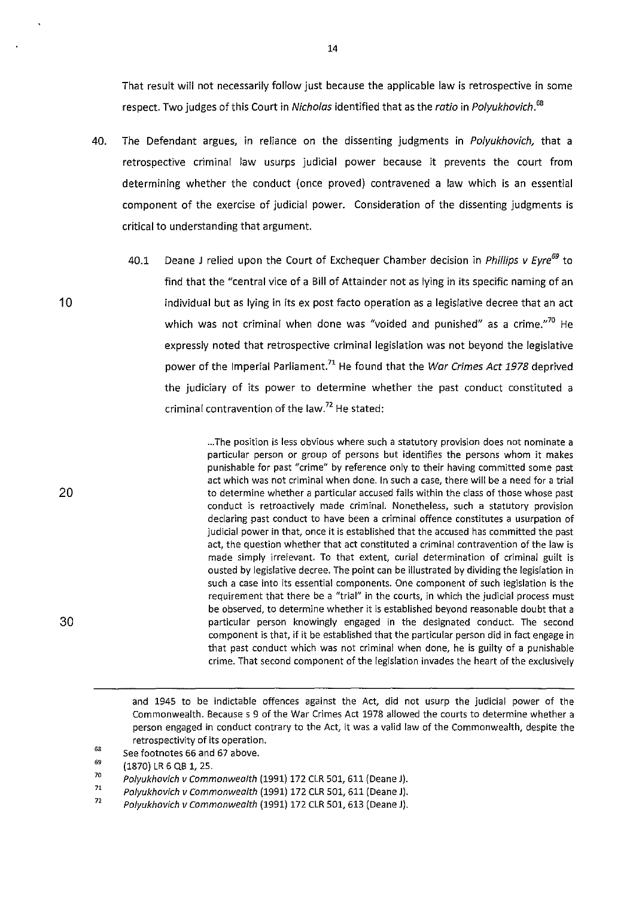That result will not necessarily follow just because the applicable law is retrospective in some respect. Two judges of this Court in Nicholas identified that as the ratio **in** Polyukhovich. *<sup>68</sup>*

- 40. The Defendant argues, in reliance on the dissenting judgments **in** Polyukhovich, that a retrospective criminal law usurps judicial power because it prevents the court from determining whether the conduct (once proved) contravened a Jaw which is an essential component of the exercise of judicial power. Consideration of the dissenting judgments is critical to understanding that argument.
	- 40.1 Deane J relied upon the Court of Exchequer Chamber decision in *Phillips v Eyre<sup>69</sup>* to find that the "central vice of a **Bill** of Attainder not as lying in its specific naming of an individual but as lying in its ex post facto operation as a legislative decree that an act which was not criminal when done was "voided and punished" as a crime."<sup>70</sup> He expressly noted that retrospective criminal legislation was not beyond the legislative power of the Imperial Parliament.<sup>71</sup> He found that the War Crimes Act 1978 deprived the judiciary of its power to determine whether the past conduct constituted a criminal contravention of the law.<sup>72</sup> He stated:

**... The position is less obvious where such a statutory provision does not nominate a**  particular person or group of persons but identifies the persons whom it makes punishable for past "crime" by reference only to their having committed some past act which was not criminal when done. In such a case, there will be a need for a trial to determine whether a particular accused falls within the class of those whose past conduct is retroactively made criminal. Nonetheless, such a statutory provision declaring past conduct to have been a criminal offence constitutes a usurpation of judicial power in that, once it is established that the accused has committed the past act, the question whether that act constituted a criminal contravention of the law is made simply irrelevant. To that extent, curial determination of criminal guilt is ousted by legislative decree. The point can be illustrated by dividing the legislation in such a case into its essential components. One component of such legislation is the requirement that there be a "trial" in the courts, in which the judicial process must be observed, to determine whether it is established beyond reasonable doubt that a particular person knowingly engaged in the designated conduct. The second component is that, if it be established that the particular person did in fact engage in that past conduct which was not criminal when done, he is guilty of a punishable crime. That second component of the legislation invades the heart of the exclusively

and 1945 to be indictable offences against the Act, did not usurp the judicial power of the Commonwealth. Because s 9 of the War Crimes Act 1978 allowed the courts to determine whether a person engaged in conduct contrary to the Act, it was a valid law of the Commonwealth, despite the retrospectivity of its operation.

- 68 See footnotes 66 and 67 above.
- 69 (1870) LR 6 QB 1, 25.

10

20

30

- 70 Polyukhovich v Commonwealth (1991) 172 CLR 501, 611 (Deane J).
- 71 Polyukhovich v Commonwealth (1991) 172 CLR 501, 611 (Deane **J).**
- *n*  Polyukhovich v Commonwealth (1991) 172 CLR 501, 613 (Deane J).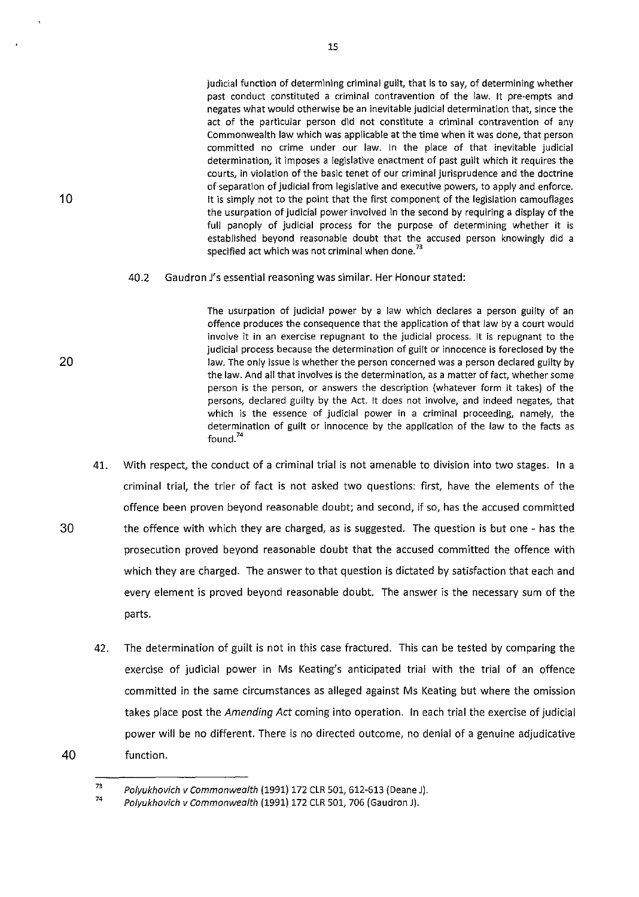judicial function of determining criminal guilt, that is to say, of determining whether past conduct constituted a criminal contravention of the law. It pre-empts and negates what would otherwise be an inevitable judicial determination that, since the act of the particular person did not constitute a criminal contravention of any Commonwealth law which was applicable at the time when it was done, that person committed no crime under our law. In the place of that inevitable judicial determination, it imposes a legislative enactment of past guilt which it requires the courts, in violation of the basic tenet of our criminal jurisprudence and the doctrine of separation of judicial from legislative and executive powers, to apply and enforce. 10 **It is simply not to the point that the first component of the legislation camouflages** the usurpation of judicial power involved in the second by requiring a display of the full panoply of judicial process for the purpose of determining whether it is established beyond reasonable doubt that the accused person knowingly did a specified act which was not criminal when done.<sup>73</sup>

# 40.2 Gaudron J's essential reasoning was similar. Her Honour stated:

The usurpation of judicial power by a law which declares a person guilty of an offence produces the consequence that the application of that law by a court would involve it in an exercise repugnant to the judicial process. It is repugnant to the judicial process because the determination of guilt or innocence is foreclosed by the 20 **120** law. The only issue is whether the person concerned was a person declared guilty by the law. And all that involves is the determination, as a matter of fact, whether some person is the person, or answers the description (whatever form it takes) of the persons, declared guilty by the Act. It does not involve, and indeed negates, that which is the essence of judicial power in a criminal proceeding, namely, the determination of guilt or innocence by the application of the law to the facts as **found. <sup>74</sup>**

- 41. With respect, the conduct of a criminal trial is not amenable to division into two stages. In a criminal trial, the trier of fact is not asked two questions: first, have the elements of the offence been proven beyond reasonable doubt; and second, if so, has the accused committed the offence with which they are charged, as is suggested. The question is but one - has the prosecution proved beyond reasonable doubt that the accused committed the offence with which they are charged. The answer to that question is dictated by satisfaction that each and every element is proved beyond reasonable doubt. The answer is the necessary sum of the parts.
- 42. The determination of guilt is not in this case fractured. This can be tested by comparing the exercise of judicial power in Ms Keating's anticipated trial with the trial of an offence committed in the same circumstances as alleged against Ms Keating but where the omission takes place post the Amending Act coming into operation. In each trial the exercise of judicial power will be no different. There is no directed outcome, no denial of a genuine adjudicative function.

30

<sup>73</sup>  Polyukhovich v Commonwealth (1991) 172 CLR 501, 612-613 (Deane J).

<sup>74</sup>  Polyukhovich v Commonwealth (1991) 172 CLR 501, 706 (Gaudron J).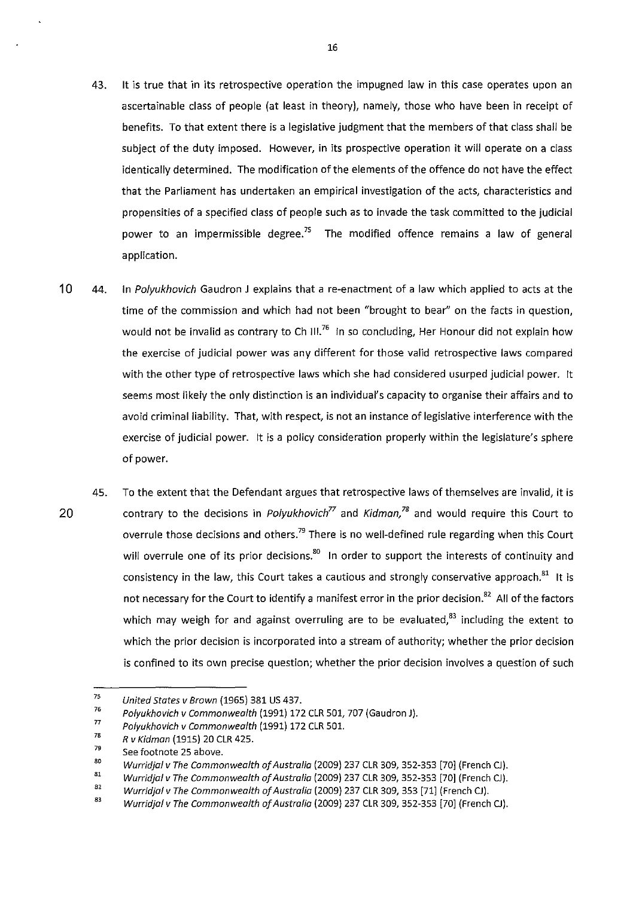- 43. It is true that in its retrospective operation the impugned law in this case operates upon an ascertainable class of people (at least in theory), namely, those who have been in receipt of benefits. To that extent there is a legislative judgment that the members of that class shall be subject of the duty imposed. However, in its prospective operation it will operate on a class identically determined. The modification of the elements of the offence do not have the effect that the Parliament has undertaken an empirical investigation of the acts, characteristics and propensities of a specified class of people such as to invade the task committed to the judicial power to an impermissible degree.<sup>75</sup> The modified offence remains a law of general application.
- 10 44. In Polyukhovich Gaudron J explains that a re-enactment of a law which applied to acts at the time of the commission and which had not been "brought to bear" on the facts in question, would not be invalid as contrary to Ch  $III^{76}$  in so concluding, Her Honour did not explain how the exercise of judicial power was any different for those valid retrospective laws compared with the other type of retrospective laws which she had considered usurped judicial power. It seems most likely the only distinction is an individual's capacity to organise their affairs and to avoid criminal liability. That, with respect, is not an instance of legislative interference with the exercise of judicial power. It is a policy consideration properly within the legislature's sphere of power.
- 45. To the extent that the Defendant argues that retrospective laws of themselves are invalid, it is 20 contrary to the decisions in Polyukhovich<sup>77</sup> and Kidman,<sup>78</sup> and would require this Court to overrule those decisions and others.<sup>79</sup> There is no well-defined rule regarding when this Court will overrule one of its prior decisions.<sup>80</sup> In order to support the interests of continuity and consistency in the law, this Court takes a cautious and strongly conservative approach.<sup>81</sup> It is not necessary for the Court to identify a manifest error in the prior decision.<sup>82</sup> All of the factors which may weigh for and against overruling are to be evaluated, $^{83}$  including the extent to which the prior decision is incorporated into a stream of authority; whether the prior decision is confined to its own precise question; whether the prior decision involves a question of such

<sup>75</sup>  United States v Brown (1965) 381 US 437.

<sup>76</sup>  Polyukhovich v Commonwealth (1991) 172 CLR 501, 707 (Gaudron J).

<sup>77</sup>  Polyukhovich v Commonwealth (1991) 172 CLR 501.

<sup>78</sup>  R v Kidman (1915) 20 CLR 425.

<sup>79</sup>  See footnote 25 above.

*<sup>80</sup>*  Wurridjal v The Commonwealth of Australia (2009) 237 CLR 309, 352-353 [70] (French CJ).

*B1*  Wurridjal v The Commonwealth of Australia (2009) 237 CLR 309, 352-353 [70] (French CJ).

*<sup>82</sup>*  Wurridjal v The Commonwealth of Australia (2009) 237 CLR 309, 353 [71] (French CJ).

<sup>83</sup>  Wurridjal v The Commonwealth of Australia (2009) 237 CLR 309, 352-353 [70] (French 0).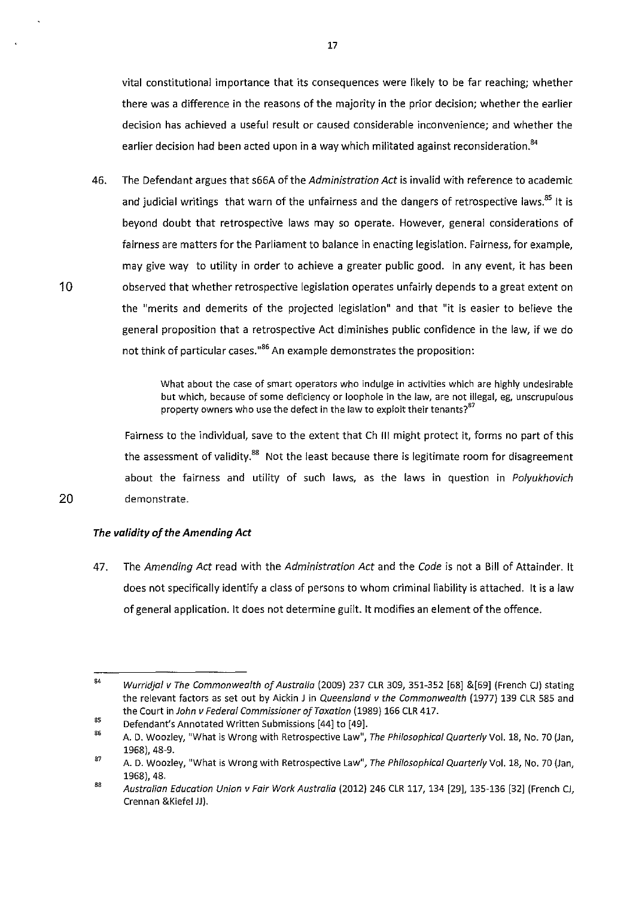vital constitutional importance that its consequences were likely to be far reaching; whether there was a difference in the reasons of the majority in the prior decision; whether the earlier decision has achieved a useful result or caused considerable inconvenience; and whether the earlier decision had been acted upon in a way which militated against reconsideration.<sup>84</sup>

46. The Defendant argues that s66A of the *Administration Act* is invalid with reference to academic and judicial writings that warn of the unfairness and the dangers of retrospective laws.<sup>85</sup> It is beyond doubt that retrospective laws may so operate. However, general considerations of fairness are matters for the Parliament to balance in enacting legislation. Fairness, for example, may give way to utility in order to achieve a greater public good. In any event, it has been 10 observed that whether retrospective legislation operates unfairly depends to a great extent on the "merits and demerits of the projected legislation" and that "it is easier to believe the general proposition that a retrospective Act diminishes public confidence in the law, if we do not think of particular cases.<sup>186</sup> An example demonstrates the proposition:

> What about the case of smart operators who indulge in activities which are highly undesirable but which, because of some deficiency or loophole in the law, are not illegal, eg, unscrupulous property owners who use the defect in the law to exploit their tenants?<sup>87</sup>

Fairness to the individual, save to the extent that Ch III might protect it, forms no part of this the assessment of validity. $88$  Not the least because there is legitimate room for disagreement about the fairness and utility of such laws, as the laws in question in *Po/yukhovich*  demonstrate.

20

# *The validity of the Amending Act*

47. The *Amending Act* read with the *Administration Act* and the *Code* is not a Bill of Attainder. It does not specifically identify a class of persons to whom criminal liability is attached. It is a law of general application. It does not determine guilt. It modifies an element of the offence.

<sup>84</sup>  85 Wurridjal v The Commonwealth of Australia (2009) 237 CLR 309, 351-352 [68] &[69] (French CJ) stating the relevant factors as set out by Aickin J in Queensland v the Commonwealth (1977) 139 CLR 585 and the Court in John v Federal Commissioner of Taxation (1989) 166 CLR 417.

Defendant's Annotated Written Submissions [44] to [49].

<sup>86</sup>  A. D. Woozley, "What is Wrong with Retrospective Law", The Philosophical Quarterly Vol. 18, No. 70 (Jan, 1968), 48-9.

<sup>87</sup>  A. D. Woozley, "What is Wrong with Retrospective Law", The Philosophical Quarterly Vol. 18, No. 70 (Jan, 1968), 48.

<sup>88</sup>  Australian Education Union v Fair Work Australia (2012) 246 CLR 117, 134 [29], 135-136 [32] (French CJ, Crennan &Kiefel JJ).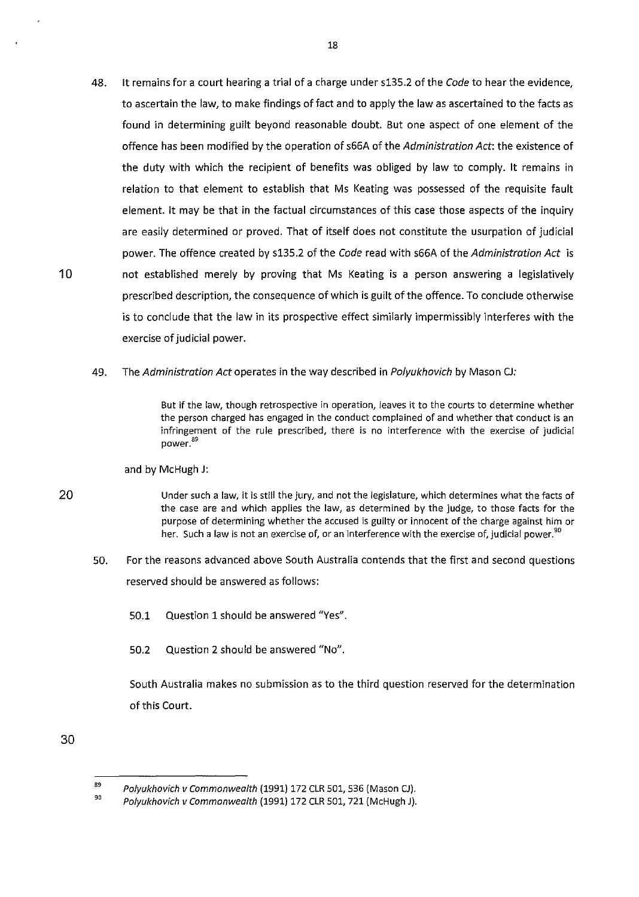- 48. It remains for a court hearing a trial of a charge under s135.2 of the Code to hear the evidence, to ascertain the law, to make findings offact and to apply the law as ascertained to the facts as found in determining guilt beyond reasonable doubt. But one aspect of one element of the offence has been modified by the operation of s66A of the Administration Act: the existence of the duty with which the recipient of benefits was obliged by law to comply. It remains in relation to that element to establish that Ms Keating was possessed of the requisite fault element. It may be that in the factual circumstances of this case those aspects of the inquiry are easily determined or proved. That of itself does not constitute the usurpation of judicial power. The offence created by s135.2 of the Code read with s66A of the Administration Act is 10 not established merely by proving that Ms Keating is a person answering a legislatively prescribed description, the consequence of which is guilt of the offence. To conclude otherwise is to conclude that the law in its prospective effect similarly impermissibly interferes with the exercise of judicial power.
	- 49. The Administration Act operates in the way described in Polyukhovich by Mason CJ:

But if the law, though retrospective in operation, leaves it to the courts to determine whether the person charged has engaged in the conduct complained of and whether that conduct is an infringement of the rule prescribed, there is no interference with the exercise of judicial **power.<sup>89</sup>**

and by McHugh J:

- Under such a law, it is still the jury, and not the legislature, which determines what the facts of the case are and which applies the law, as determined by the judge, to those facts for the purpose of determining whether the accused is guilty or innocent of the charge against him or **her. Such a law is not an exercise of, or an interference with the exercise of, judicial power.<sup>90</sup>**
- so. For the reasons advanced above South Australia contends that the first and second questions reserved should be answered as follows:
	- 50.1 Question 1 should be answered "Yes".
	- 50.2 Question 2 should be answered "No".

South Australia makes no submission as to the third question reserved for the determination of this Court.

30

<sup>89</sup>  Polyukhovich v Commonwealth (1991) 172 CLR 501, 536 (Mason CJ).

<sup>90</sup>  Polyukhovich v Commonwealth (1991) 172 CLR 501, 721 (McHugh J).